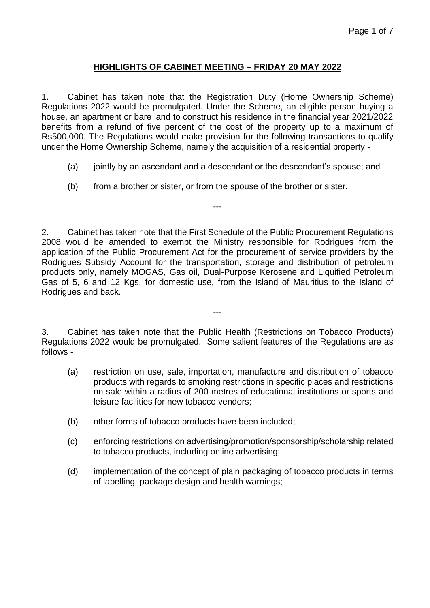## **HIGHLIGHTS OF CABINET MEETING – FRIDAY 20 MAY 2022**

1. Cabinet has taken note that the Registration Duty (Home Ownership Scheme) Regulations 2022 would be promulgated. Under the Scheme, an eligible person buying a house, an apartment or bare land to construct his residence in the financial year 2021/2022 benefits from a refund of five percent of the cost of the property up to a maximum of Rs500,000. The Regulations would make provision for the following transactions to qualify under the Home Ownership Scheme, namely the acquisition of a residential property -

- (a) jointly by an ascendant and a descendant or the descendant's spouse; and
- (b) from a brother or sister, or from the spouse of the brother or sister.

2. Cabinet has taken note that the First Schedule of the Public Procurement Regulations 2008 would be amended to exempt the Ministry responsible for Rodrigues from the application of the Public Procurement Act for the procurement of service providers by the Rodrigues Subsidy Account for the transportation, storage and distribution of petroleum products only, namely MOGAS, Gas oil, Dual-Purpose Kerosene and Liquified Petroleum Gas of 5, 6 and 12 Kgs, for domestic use, from the Island of Mauritius to the Island of Rodrigues and back.

---

3. Cabinet has taken note that the Public Health (Restrictions on Tobacco Products) Regulations 2022 would be promulgated. Some salient features of the Regulations are as follows -

---

- (a) restriction on use, sale, importation, manufacture and distribution of tobacco products with regards to smoking restrictions in specific places and restrictions on sale within a radius of 200 metres of educational institutions or sports and leisure facilities for new tobacco vendors;
- (b) other forms of tobacco products have been included;
- (c) enforcing restrictions on advertising/promotion/sponsorship/scholarship related to tobacco products, including online advertising;
- (d) implementation of the concept of plain packaging of tobacco products in terms of labelling, package design and health warnings;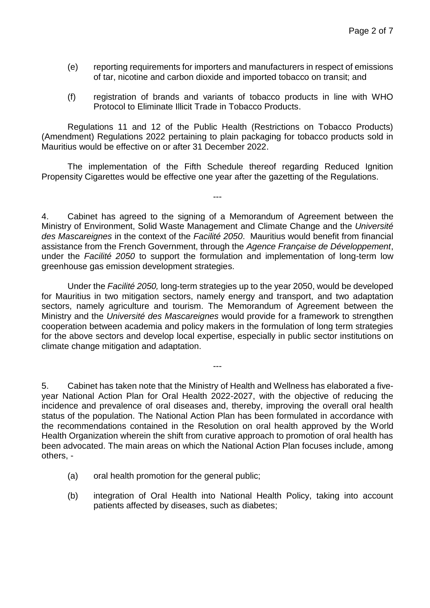- (e) reporting requirements for importers and manufacturers in respect of emissions of tar, nicotine and carbon dioxide and imported tobacco on transit; and
- (f) registration of brands and variants of tobacco products in line with WHO Protocol to Eliminate Illicit Trade in Tobacco Products.

Regulations 11 and 12 of the Public Health (Restrictions on Tobacco Products) (Amendment) Regulations 2022 pertaining to plain packaging for tobacco products sold in Mauritius would be effective on or after 31 December 2022.

The implementation of the Fifth Schedule thereof regarding Reduced Ignition Propensity Cigarettes would be effective one year after the gazetting of the Regulations.

---

4. Cabinet has agreed to the signing of a Memorandum of Agreement between the Ministry of Environment, Solid Waste Management and Climate Change and the *Université des Mascareignes* in the context of the *Facilité 2050*. Mauritius would benefit from financial assistance from the French Government, through the *Agence Française de Développement*, under the *Facilité 2050* to support the formulation and implementation of long-term low greenhouse gas emission development strategies.

Under the *Facilité 2050,* long-term strategies up to the year 2050, would be developed for Mauritius in two mitigation sectors, namely energy and transport, and two adaptation sectors, namely agriculture and tourism. The Memorandum of Agreement between the Ministry and the *Université des Mascareignes* would provide for a framework to strengthen cooperation between academia and policy makers in the formulation of long term strategies for the above sectors and develop local expertise, especially in public sector institutions on climate change mitigation and adaptation.

---

5. Cabinet has taken note that the Ministry of Health and Wellness has elaborated a fiveyear National Action Plan for Oral Health 2022-2027, with the objective of reducing the incidence and prevalence of oral diseases and, thereby, improving the overall oral health status of the population. The National Action Plan has been formulated in accordance with the recommendations contained in the Resolution on oral health approved by the World Health Organization wherein the shift from curative approach to promotion of oral health has been advocated. The main areas on which the National Action Plan focuses include, among others, -

- (a) oral health promotion for the general public;
- (b) integration of Oral Health into National Health Policy, taking into account patients affected by diseases, such as diabetes;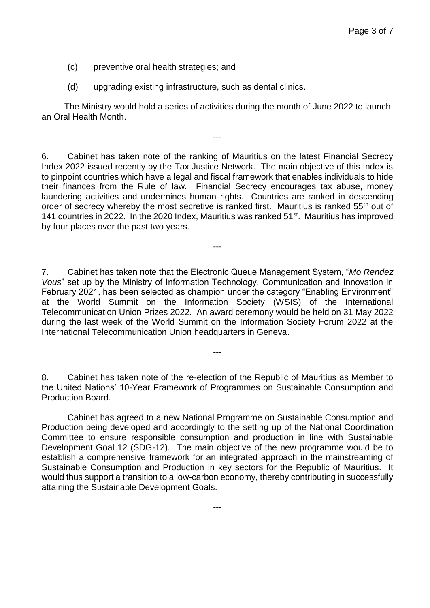- (c) preventive oral health strategies; and
- (d) upgrading existing infrastructure, such as dental clinics.

The Ministry would hold a series of activities during the month of June 2022 to launch an Oral Health Month.

---

6. Cabinet has taken note of the ranking of Mauritius on the latest Financial Secrecy Index 2022 issued recently by the Tax Justice Network. The main objective of this Index is to pinpoint countries which have a legal and fiscal framework that enables individuals to hide their finances from the Rule of law. Financial Secrecy encourages tax abuse, money laundering activities and undermines human rights. Countries are ranked in descending order of secrecy whereby the most secretive is ranked first. Mauritius is ranked 55<sup>th</sup> out of 141 countries in 2022. In the 2020 Index, Mauritius was ranked 51<sup>st</sup>. Mauritius has improved by four places over the past two years.

---

7. Cabinet has taken note that the Electronic Queue Management System, "*Mo Rendez Vous*" set up by the Ministry of Information Technology, Communication and Innovation in February 2021, has been selected as champion under the category "Enabling Environment" at the World Summit on the Information Society (WSIS) of the International Telecommunication Union Prizes 2022. An award ceremony would be held on 31 May 2022 during the last week of the World Summit on the Information Society Forum 2022 at the International Telecommunication Union headquarters in Geneva.

8. Cabinet has taken note of the re-election of the Republic of Mauritius as Member to the United Nations' 10-Year Framework of Programmes on Sustainable Consumption and Production Board.

---

Cabinet has agreed to a new National Programme on Sustainable Consumption and Production being developed and accordingly to the setting up of the National Coordination Committee to ensure responsible consumption and production in line with Sustainable Development Goal 12 (SDG-12). The main objective of the new programme would be to establish a comprehensive framework for an integrated approach in the mainstreaming of Sustainable Consumption and Production in key sectors for the Republic of Mauritius. It would thus support a transition to a low-carbon economy, thereby contributing in successfully attaining the Sustainable Development Goals.

---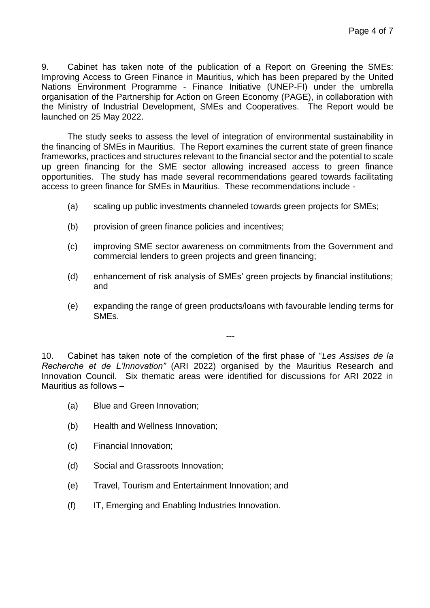9. Cabinet has taken note of the publication of a Report on Greening the SMEs: Improving Access to Green Finance in Mauritius, which has been prepared by the United Nations Environment Programme - Finance Initiative (UNEP-FI) under the umbrella organisation of the Partnership for Action on Green Economy (PAGE), in collaboration with the Ministry of Industrial Development, SMEs and Cooperatives. The Report would be launched on 25 May 2022.

The study seeks to assess the level of integration of environmental sustainability in the financing of SMEs in Mauritius. The Report examines the current state of green finance frameworks, practices and structures relevant to the financial sector and the potential to scale up green financing for the SME sector allowing increased access to green finance opportunities. The study has made several recommendations geared towards facilitating access to green finance for SMEs in Mauritius. These recommendations include -

- (a) scaling up public investments channeled towards green projects for SMEs;
- (b) provision of green finance policies and incentives;
- (c) improving SME sector awareness on commitments from the Government and commercial lenders to green projects and green financing;
- (d) enhancement of risk analysis of SMEs' green projects by financial institutions; and
- (e) expanding the range of green products/loans with favourable lending terms for SMEs.

---

10. Cabinet has taken note of the completion of the first phase of "*Les Assises de la Recherche et de L'Innovation"* (ARI 2022) organised by the Mauritius Research and Innovation Council. Six thematic areas were identified for discussions for ARI 2022 in Mauritius as follows –

- (a) Blue and Green Innovation;
- (b) Health and Wellness Innovation;
- (c) Financial Innovation;
- (d) Social and Grassroots Innovation;
- (e) Travel, Tourism and Entertainment Innovation; and
- (f) IT, Emerging and Enabling Industries Innovation.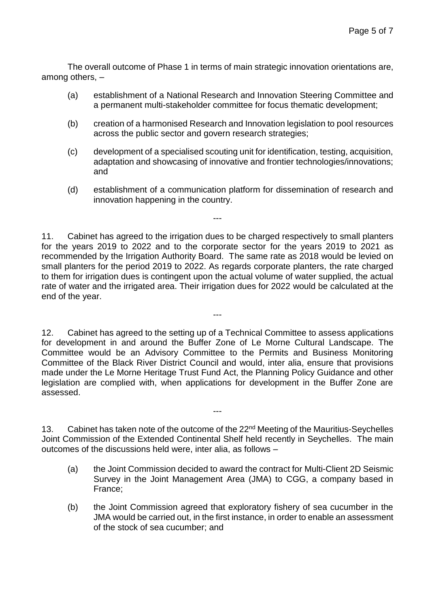The overall outcome of Phase 1 in terms of main strategic innovation orientations are, among others, –

- (a) establishment of a National Research and Innovation Steering Committee and a permanent multi-stakeholder committee for focus thematic development;
- (b) creation of a harmonised Research and Innovation legislation to pool resources across the public sector and govern research strategies;
- (c) development of a specialised scouting unit for identification, testing, acquisition, adaptation and showcasing of innovative and frontier technologies/innovations; and
- (d) establishment of a communication platform for dissemination of research and innovation happening in the country.

11. Cabinet has agreed to the irrigation dues to be charged respectively to small planters for the years 2019 to 2022 and to the corporate sector for the years 2019 to 2021 as recommended by the Irrigation Authority Board. The same rate as 2018 would be levied on small planters for the period 2019 to 2022. As regards corporate planters, the rate charged to them for irrigation dues is contingent upon the actual volume of water supplied, the actual rate of water and the irrigated area. Their irrigation dues for 2022 would be calculated at the end of the year.

---

---

12. Cabinet has agreed to the setting up of a Technical Committee to assess applications for development in and around the Buffer Zone of Le Morne Cultural Landscape. The Committee would be an Advisory Committee to the Permits and Business Monitoring Committee of the Black River District Council and would, inter alia, ensure that provisions made under the Le Morne Heritage Trust Fund Act, the Planning Policy Guidance and other legislation are complied with, when applications for development in the Buffer Zone are assessed.

13. Cabinet has taken note of the outcome of the 22<sup>nd</sup> Meeting of the Mauritius-Seychelles Joint Commission of the Extended Continental Shelf held recently in Seychelles. The main outcomes of the discussions held were, inter alia, as follows –

---

- (a) the Joint Commission decided to award the contract for Multi-Client 2D Seismic Survey in the Joint Management Area (JMA) to CGG, a company based in France;
- (b) the Joint Commission agreed that exploratory fishery of sea cucumber in the JMA would be carried out, in the first instance, in order to enable an assessment of the stock of sea cucumber; and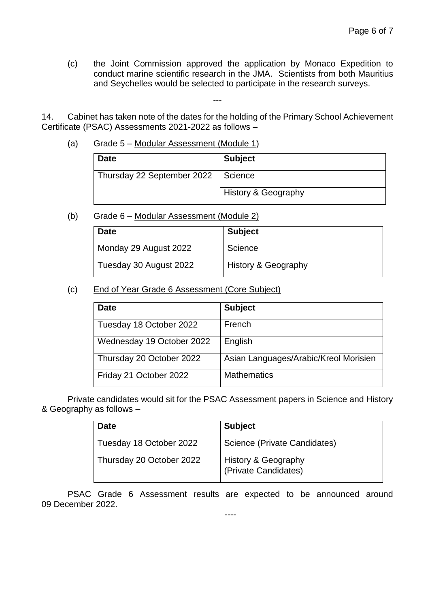(c) the Joint Commission approved the application by Monaco Expedition to conduct marine scientific research in the JMA. Scientists from both Mauritius and Seychelles would be selected to participate in the research surveys.

14. Cabinet has taken note of the dates for the holding of the Primary School Achievement Certificate (PSAC) Assessments 2021-2022 as follows –

---

(a) Grade 5 – Modular Assessment (Module 1)

| <b>Date</b>                | <b>Subject</b>      |
|----------------------------|---------------------|
| Thursday 22 September 2022 | Science             |
|                            | History & Geography |

(b) Grade 6 – Modular Assessment (Module 2)

| <b>Date</b>            | <b>Subject</b>      |
|------------------------|---------------------|
| Monday 29 August 2022  | Science             |
| Tuesday 30 August 2022 | History & Geography |

(c) End of Year Grade 6 Assessment (Core Subject)

| <b>Date</b>               | <b>Subject</b>                        |
|---------------------------|---------------------------------------|
| Tuesday 18 October 2022   | French                                |
| Wednesday 19 October 2022 | English                               |
| Thursday 20 October 2022  | Asian Languages/Arabic/Kreol Morisien |
| Friday 21 October 2022    | <b>Mathematics</b>                    |

Private candidates would sit for the PSAC Assessment papers in Science and History & Geography as follows –

| <b>Date</b>              | <b>Subject</b>                                         |
|--------------------------|--------------------------------------------------------|
| Tuesday 18 October 2022  | Science (Private Candidates)                           |
| Thursday 20 October 2022 | <b>History &amp; Geography</b><br>(Private Candidates) |

PSAC Grade 6 Assessment results are expected to be announced around 09 December 2022.